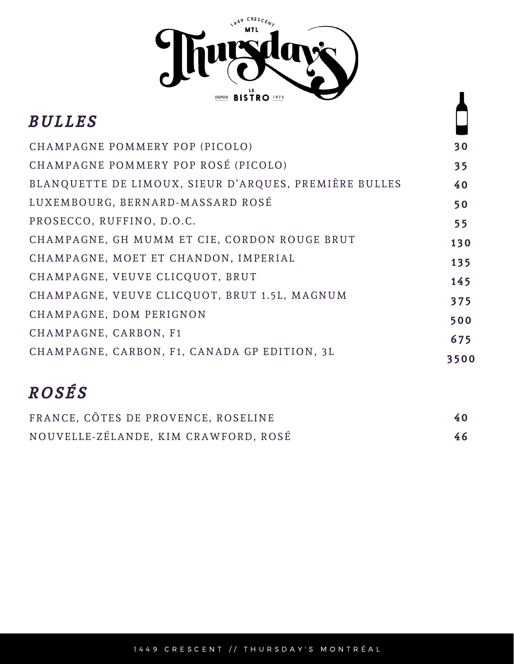

 $\mathbf{I}$ 

| <i>BULLES</i>                                         |      |
|-------------------------------------------------------|------|
| CHAMPAGNE POMMERY POP (PICOLO)                        | 30   |
| CHAMPAGNE POMMERY POP ROSÉ (PICOLO)                   | 35   |
| BLANQUETTE DE LIMOUX, SIEUR D'ARQUES, PREMIÈRE BULLES | 40   |
| LUXEMBOURG, BERNARD-MASSARD ROSÉ                      | 50   |
| PROSECCO, RUFFINO, D.O.C.                             | 55   |
| CHAMPAGNE, GH MUMM ET CIE, CORDON ROUGE BRUT          | 130  |
| CHAMPAGNE, MOET ET CHANDON, IMPERIAL                  | 135  |
| CHAMPAGNE, VEUVE CLICQUOT, BRUT                       | 145  |
| CHAMPAGNE, VEUVE CLICQUOT, BRUT 1.5L, MAGNUM          | 375  |
| CHAMPAGNE, DOM PERIGNON                               | 500  |
| CHAMPAGNE, CARBON, F1                                 | 675  |
| CHAMPAGNE, CARBON, F1, CANADA GP EDITION, 3L          | 3500 |

# R O S É S

| FRANCE, CÔTES DE PROVENCE, ROSELINE  | 40 |
|--------------------------------------|----|
| NOUVELLE-ZÉLANDE, KIM CRAWFORD, ROSÉ | 46 |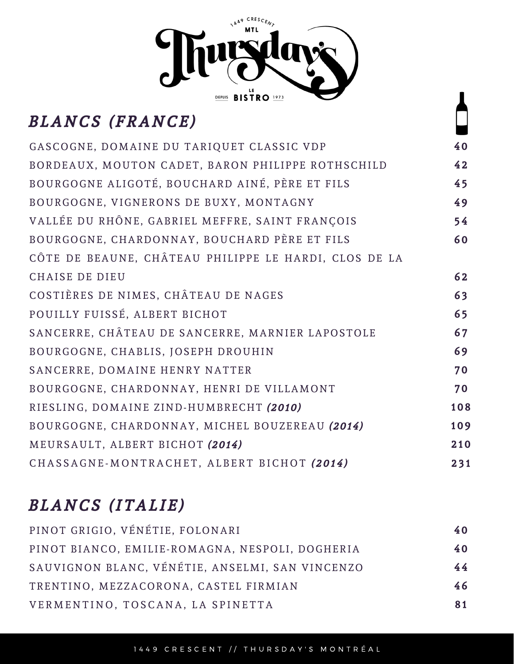

## BLANCS (FRANCE)

| GASCOGNE, DOMAINE DU TARIQUET CLASSIC VDP             | 40  |
|-------------------------------------------------------|-----|
| BORDEAUX, MOUTON CADET, BARON PHILIPPE ROTHSCHILD     | 42  |
| BOURGOGNE ALIGOTÉ, BOUCHARD AINÉ, PÈRE ET FILS        | 45  |
| BOURGOGNE, VIGNERONS DE BUXY, MONTAGNY                | 49  |
| VALLÉE DU RHÔNE, GABRIEL MEFFRE, SAINT FRANÇOIS       | 54  |
| BOURGOGNE, CHARDONNAY, BOUCHARD PÈRE ET FILS          | 60  |
| CÔTE DE BEAUNE, CHÂTEAU PHILIPPE LE HARDI, CLOS DE LA |     |
| CHAISE DE DIEU                                        | 62  |
| COSTIÈRES DE NIMES, CHÂTEAU DE NAGES                  | 63  |
| POUILLY FUISSÉ, ALBERT BICHOT                         | 65  |
| SANCERRE, CHÂTEAU DE SANCERRE, MARNIER LAPOSTOLE      | 67  |
| BOURGOGNE, CHABLIS, JOSEPH DROUHIN                    | 69  |
| SANCERRE, DOMAINE HENRY NATTER                        | 70  |
| BOURGOGNE, CHARDONNAY, HENRI DE VILLAMONT             | 70  |
| RIESLING, DOMAINE ZIND-HUMBRECHT (2010)               | 108 |
| BOURGOGNE, CHARDONNAY, MICHEL BOUZEREAU (2014)        | 109 |
| MEURSAULT, ALBERT BICHOT (2014)                       | 210 |
| CHASSAGNE-MONTRACHET, ALBERT BICHOT (2014)            | 231 |

## BLANCS (ITALIE)

| 40 |
|----|
| 40 |
| 44 |
| 46 |
| 81 |
|    |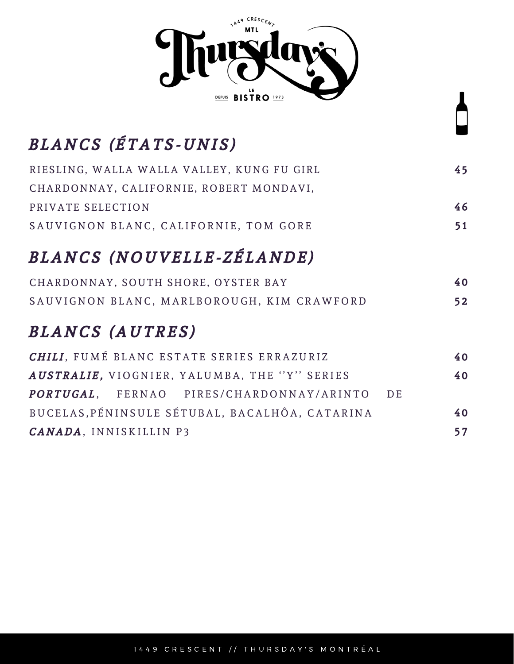

## BLANCS (ÉTATS-UNIS)

| RIESLING, WALLA WALLA VALLEY, KUNG FU GIRL | 45 |
|--------------------------------------------|----|
| CHARDONNAY, CALIFORNIE, ROBERT MONDAVI,    |    |
| PRIVATE SELECTION                          | 46 |
| SAUVIGNON BLANC, CALIFORNIE, TOM GORE      | 51 |

## BLANCS (NOUVELLE-ZÉLANDE)

| CHARDONNAY, SOUTH SHORE, OYSTER BAY        | 40 |
|--------------------------------------------|----|
| SAUVIGNON BLANC, MARLBOROUGH, KIM CRAWFORD | 52 |

### BLANCS (AUTRES)

| <b>CHILI.</b> FUMÉ BLANC ESTATE SERIES ERRAZURIZ |  |    |  |  |
|--------------------------------------------------|--|----|--|--|
| AUSTRALIE, VIOGNIER, YALUMBA, THE "Y" SERIES     |  | 40 |  |  |
| PORTUGAL, FERNAO PIRES/CHARDONNAY/ARINTO DE      |  |    |  |  |
| BUCELAS, PÉNINSULE SÉTUBAL, BACALHÔA, CATARINA   |  | 40 |  |  |
| <b>CANADA, INNISKILLIN P3</b>                    |  | 57 |  |  |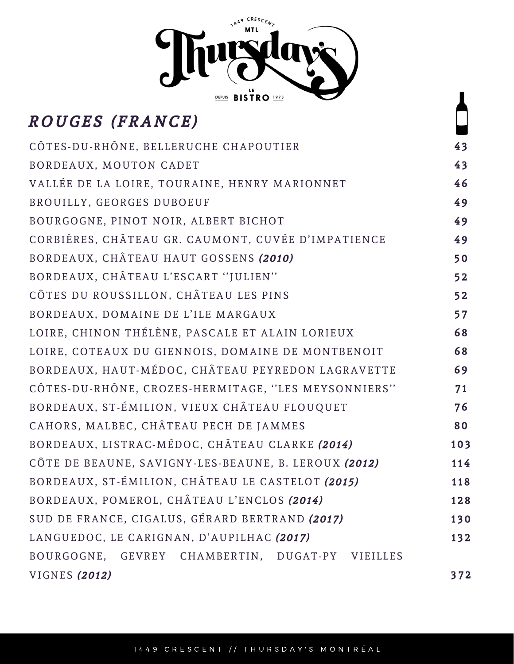

## ROUGES (FRANCE)

| CÔTES-DU-RHÔNE, BELLERUCHE CHAPOUTIER                |     |  |  |  |  |
|------------------------------------------------------|-----|--|--|--|--|
| BORDEAUX, MOUTON CADET                               |     |  |  |  |  |
| VALLÉE DE LA LOIRE, TOURAINE, HENRY MARIONNET        |     |  |  |  |  |
| BROUILLY, GEORGES DUBOEUF                            |     |  |  |  |  |
| BOURGOGNE, PINOT NOIR, ALBERT BICHOT                 | 49  |  |  |  |  |
| CORBIÈRES, CHÂTEAU GR. CAUMONT, CUVÉE D'IMPATIENCE   | 49  |  |  |  |  |
| BORDEAUX, CHÂTEAU HAUT GOSSENS (2010)                | 50  |  |  |  |  |
| BORDEAUX, CHÂTEAU L'ESCART "JULIEN"                  | 52  |  |  |  |  |
| CÔTES DU ROUSSILLON, CHÂTEAU LES PINS                | 52  |  |  |  |  |
| BORDEAUX, DOMAINE DE L'ILE MARGAUX                   | 57  |  |  |  |  |
| LOIRE, CHINON THÉLÈNE, PASCALE ET ALAIN LORIEUX      | 68  |  |  |  |  |
| LOIRE, COTEAUX DU GIENNOIS, DOMAINE DE MONTBENOIT    |     |  |  |  |  |
| BORDEAUX, HAUT-MÉDOC, CHÂTEAU PEYREDON LAGRAVETTE    |     |  |  |  |  |
| CÔTES-DU-RHÔNE, CROZES-HERMITAGE, "LES MEYSONNIERS"  |     |  |  |  |  |
| BORDEAUX, ST-ÉMILION, VIEUX CHÂTEAU FLOUQUET         |     |  |  |  |  |
| CAHORS, MALBEC, CHÂTEAU PECH DE JAMMES               |     |  |  |  |  |
| BORDEAUX, LISTRAC-MÉDOC, CHÂTEAU CLARKE (2014)       | 103 |  |  |  |  |
| CÔTE DE BEAUNE, SAVIGNY-LES-BEAUNE, B. LEROUX (2012) | 114 |  |  |  |  |
| BORDEAUX, ST-ÉMILION, CHÂTEAU LE CASTELOT (2015)     | 118 |  |  |  |  |
| BORDEAUX, POMEROL, CHÂTEAU L'ENCLOS (2014)           | 128 |  |  |  |  |
| SUD DE FRANCE, CIGALUS, GÉRARD BERTRAND (2017)       | 130 |  |  |  |  |
| LANGUEDOC, LE CARIGNAN, D'AUPILHAC (2017)            | 132 |  |  |  |  |
| BOURGOGNE, GEVREY CHAMBERTIN, DUGAT-PY VIEILLES      |     |  |  |  |  |
| VIGNES (2012)                                        | 372 |  |  |  |  |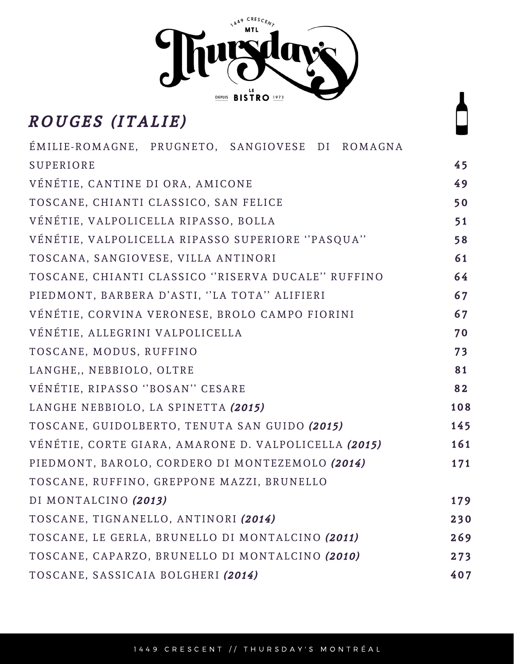

### ROUGES (ITALIE)

| ÉMILIE-ROMAGNE, PRUGNETO, SANGIOVESE DI ROMAGNA      |     |
|------------------------------------------------------|-----|
| <b>SUPERIORE</b>                                     | 45  |
| VÉNÉTIE, CANTINE DI ORA, AMICONE                     | 49  |
| TOSCANE, CHIANTI CLASSICO, SAN FELICE                | 50  |
| VÉNÉTIE, VALPOLICELLA RIPASSO, BOLLA                 | 51  |
| VÉNÉTIE, VALPOLICELLA RIPASSO SUPERIORE "PASQUA"     | 58  |
| TOSCANA, SANGIOVESE, VILLA ANTINORI                  | 61  |
| TOSCANE, CHIANTI CLASSICO "RISERVA DUCALE" RUFFINO   | 64  |
| PIEDMONT, BARBERA D'ASTI, "LA TOTA" ALIFIERI         | 67  |
| VÉNÉTIE, CORVINA VERONESE, BROLO CAMPO FIORINI       | 67  |
| VÉNÉTIE, ALLEGRINI VALPOLICELLA                      | 70  |
| TOSCANE, MODUS, RUFFINO                              | 73  |
| LANGHE,, NEBBIOLO, OLTRE                             | 81  |
| VÉNÉTIE, RIPASSO "BOSAN" CESARE                      | 82  |
| LANGHE NEBBIOLO, LA SPINETTA (2015)                  | 108 |
| TOSCANE, GUIDOLBERTO, TENUTA SAN GUIDO (2015)        | 145 |
| VÉNÉTIE, CORTE GIARA, AMARONE D. VALPOLICELLA (2015) | 161 |
| PIEDMONT, BAROLO, CORDERO DI MONTEZEMOLO (2014)      | 171 |
| TOSCANE, RUFFINO, GREPPONE MAZZI, BRUNELLO           |     |
| DI MONTALCINO (2013)                                 | 179 |
| TOSCANE, TIGNANELLO, ANTINORI (2014)                 | 230 |
| TOSCANE, LE GERLA, BRUNELLO DI MONTALCINO (2011)     | 269 |
| TOSCANE, CAPARZO, BRUNELLO DI MONTALCINO (2010)      | 273 |
| TOSCANE, SASSICAIA BOLGHERI (2014)                   | 407 |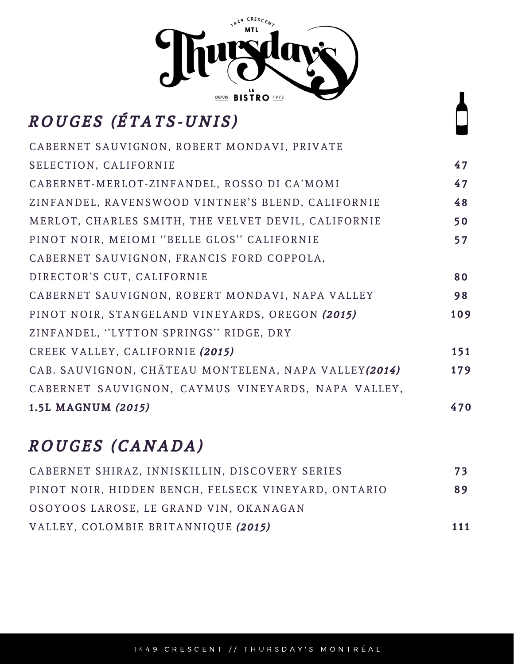

# ROUGES (ÉTATS-UNIS)

| CABERNET SAUVIGNON, ROBERT MONDAVI, PRIVATE          |     |
|------------------------------------------------------|-----|
| SELECTION, CALIFORNIE                                | 47  |
| CABERNET-MERLOT-ZINFANDEL, ROSSO DI CA'MOMI          | 47  |
| ZINFANDEL, RAVENSWOOD VINTNER'S BLEND, CALIFORNIE    | 48  |
| MERLOT, CHARLES SMITH, THE VELVET DEVIL, CALIFORNIE  | 50  |
| PINOT NOIR, MEIOMI "BELLE GLOS" CALIFORNIE           | 57  |
| CABERNET SAUVIGNON, FRANCIS FORD COPPOLA,            |     |
| DIRECTOR'S CUT, CALIFORNIE                           | 80  |
| CABERNET SAUVIGNON, ROBERT MONDAVI, NAPA VALLEY      | 98  |
| PINOT NOIR, STANGELAND VINEYARDS, OREGON (2015)      | 109 |
| ZINFANDEL, "LYTTON SPRINGS" RIDGE, DRY               |     |
| CREEK VALLEY, CALIFORNIE (2015)                      | 151 |
| CAB. SAUVIGNON, CHÂTEAU MONTELENA, NAPA VALLEY(2014) | 179 |
| CABERNET SAUVIGNON, CAYMUS VINEYARDS, NAPA VALLEY,   |     |
| 1.5L MAGNUM (2015)                                   | 470 |

## ROUGES (CANADA)

| CABERNET SHIRAZ, INNISKILLIN, DISCOVERY SERIES      | 73  |
|-----------------------------------------------------|-----|
| PINOT NOIR, HIDDEN BENCH, FELSECK VINEYARD, ONTARIO | 89  |
| OSOYOOS LAROSE, LE GRAND VIN, OKANAGAN              |     |
| VALLEY, COLOMBIE BRITANNIQUE (2015)                 | 111 |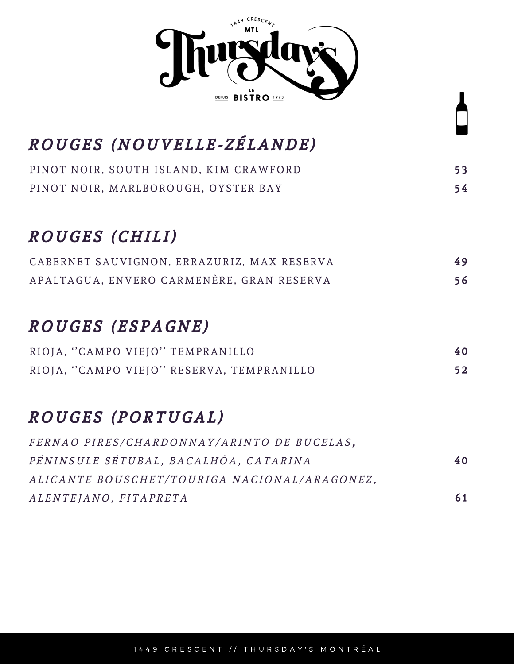

## ROUGES (NOUVELLE-ZÉLANDE)

|  | PINOT NOIR, SOUTH ISLAND, KIM CRAWFORD |  |  | 53 |
|--|----------------------------------------|--|--|----|
|  | PINOT NOIR, MARLBOROUGH, OYSTER BAY    |  |  | 54 |

### ROUGES (CHILI)

| CABERNET SAUVIGNON, ERRAZURIZ, MAX RESERVA | 49 |
|--------------------------------------------|----|
| APALTAGUA, ENVERO CARMENÈRE, GRAN RESERVA  | 56 |

#### ROUGES (ESPAGNE)

|  | RIOJA, "CAMPO VIEJO" TEMPRANILLO          | 40 |
|--|-------------------------------------------|----|
|  | RIOJA, "CAMPO VIEJO" RESERVA, TEMPRANILLO | 52 |

#### ROUGES (PORTUGAL)

| FERNAO PIRES/CHARDONNAY/ARINTO DE BUCELAS.   |    |
|----------------------------------------------|----|
| PÉNINSULE SÉTUBAL, BACALHÔA, CATARINA        | 40 |
| ALICANTE BOUSCHET/TOURIGA NACIONAL/ARAGONEZ. |    |
| ALENTEJANO, FITAPRETA                        | 61 |